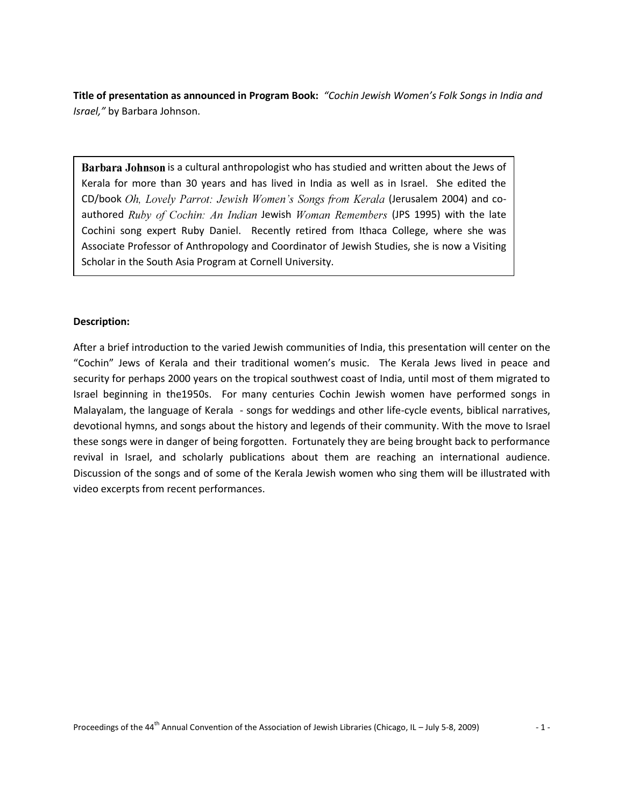**Title of presentation as announced in Program Book:** *"Cochin Jewish Women's Folk Songs in India and Israel,"* by Barbara Johnson.

Barbara Johnson is a cultural anthropologist who has studied and written about the Jews of Kerala for more than 30 years and has lived in India as well as in Israel. She edited the CD/book Oh, Lovely Parrot: Jewish Women's Songs from Kerala (Jerusalem 2004) and coauthored Ruby of Cochin: An Indian Jewish Woman Remembers (JPS 1995) with the late Cochini song expert Ruby Daniel. Recently retired from Ithaca College, where she was Associate Professor of Anthropology and Coordinator of Jewish Studies, she is now a Visiting Scholar in the South Asia Program at Cornell University.

## **Description:**

After a brief introduction to the varied Jewish communities of India, this presentation will center on the "Cochin" Jews of Kerala and their traditional women's music. The Kerala Jews lived in peace and security for perhaps 2000 years on the tropical southwest coast of India, until most of them migrated to Israel beginning in the1950s. For many centuries Cochin Jewish women have performed songs in Malayalam, the language of Kerala - songs for weddings and other life-cycle events, biblical narratives, devotional hymns, and songs about the history and legends of their community. With the move to Israel these songs were in danger of being forgotten. Fortunately they are being brought back to performance revival in Israel, and scholarly publications about them are reaching an international audience. Discussion of the songs and of some of the Kerala Jewish women who sing them will be illustrated with video excerpts from recent performances.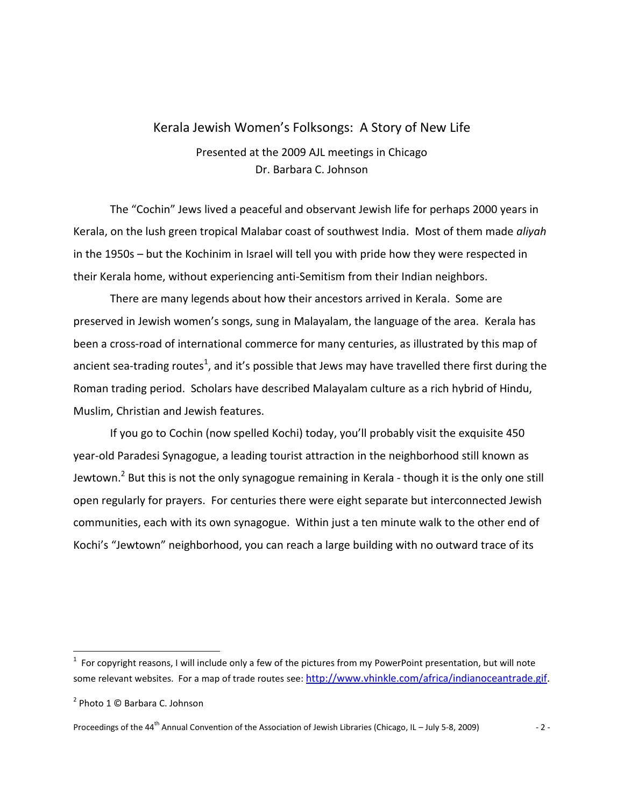# Kerala Jewish Women's Folksongs: A Story of New Life

Presented at the 2009 AJL meetings in Chicago Dr. Barbara C. Johnson

The "Cochin" Jews lived a peaceful and observant Jewish life for perhaps 2000 years in Kerala, on the lush green tropical Malabar coast of southwest India. Most of them made *aliyah*  in the 1950s – but the Kochinim in Israel will tell you with pride how they were respected in their Kerala home, without experiencing anti-Semitism from their Indian neighbors.

There are many legends about how their ancestors arrived in Kerala. Some are preserved in Jewish women's songs, sung in Malayalam, the language of the area. Kerala has been a cross-road of international commerce for many centuries, as illustrated by this map of ancient sea-trading routes<sup>1</sup>, and it's possible that Jews may have travelled there first during the Roman trading period. Scholars have described Malayalam culture as a rich hybrid of Hindu, Muslim, Christian and Jewish features.

If you go to Cochin (now spelled Kochi) today, you'll probably visit the exquisite 450 year-old Paradesi Synagogue, a leading tourist attraction in the neighborhood still known as Jewtown.<sup>2</sup> But this is not the only synagogue remaining in Kerala - though it is the only one still open regularly for prayers. For centuries there were eight separate but interconnected Jewish communities, each with its own synagogue. Within just a ten minute walk to the other end of Kochi's "Jewtown" neighborhood, you can reach a large building with no outward trace of its

 $1$  For copyright reasons, I will include only a few of the pictures from my PowerPoint presentation, but will note some relevant websites. For a map of trade routes see: [http://www.vhinkle.com/africa/indianoceantrade.gif.](http://www.vhinkle.com/africa/indianoceantrade.gif)

<sup>&</sup>lt;sup>2</sup> Photo 1 © Barbara C. Johnson

Proceedings of the 44<sup>th</sup> Annual Convention of the Association of Jewish Libraries (Chicago, IL – July 5-8, 2009)  $-2 -$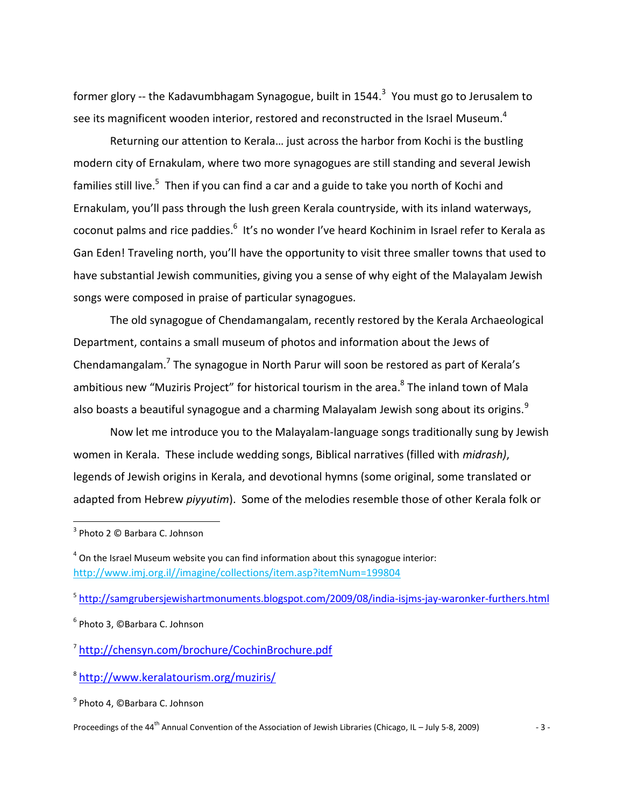former glory -- the Kadavumbhagam Synagogue, built in 1544. $^3$  You must go to Jerusalem to see its magnificent wooden interior, restored and reconstructed in the Israel Museum.<sup>4</sup>

Returning our attention to Kerala… just across the harbor from Kochi is the bustling modern city of Ernakulam, where two more synagogues are still standing and several Jewish families still live.<sup>5</sup> Then if you can find a car and a guide to take you north of Kochi and Ernakulam, you'll pass through the lush green Kerala countryside, with its inland waterways, coconut palms and rice paddies.<sup>6</sup> It's no wonder I've heard Kochinim in Israel refer to Kerala as Gan Eden! Traveling north, you'll have the opportunity to visit three smaller towns that used to have substantial Jewish communities, giving you a sense of why eight of the Malayalam Jewish songs were composed in praise of particular synagogues.

The old synagogue of Chendamangalam, recently restored by the Kerala Archaeological Department, contains a small museum of photos and information about the Jews of Chendamangalam.<sup>7</sup> The synagogue in North Parur will soon be restored as part of Kerala's ambitious new "Muziris Project" for historical tourism in the area.<sup>8</sup> The inland town of Mala also boasts a beautiful synagogue and a charming Malayalam Jewish song about its origins.<sup>9</sup>

Now let me introduce you to the Malayalam-language songs traditionally sung by Jewish women in Kerala. These include wedding songs, Biblical narratives (filled with *midrash)*, legends of Jewish origins in Kerala, and devotional hymns (some original, some translated or adapted from Hebrew *piyyutim*). Some of the melodies resemble those of other Kerala folk or

l

<sup>5</sup> <http://samgrubersjewishartmonuments.blogspot.com/2009/08/india-isjms-jay-waronker-furthers.html>

<sup>&</sup>lt;sup>3</sup> Photo 2 © Barbara C. Johnson

 $<sup>4</sup>$  On the Israel Museum website you can find information about this synagogue interior:</sup> [http://www.imj.org.il//imagine/collections/item.asp?itemNum=199804](http://www.imj.org.il/imagine/collections/item.asp?itemNum=199804)

<sup>6</sup> Photo 3, ©Barbara C. Johnson

<sup>7</sup> <http://chensyn.com/brochure/CochinBrochure.pdf>

<sup>8</sup> <http://www.keralatourism.org/muziris/>

<sup>&</sup>lt;sup>9</sup> Photo 4, ©Barbara C. Johnson

Proceedings of the 44<sup>th</sup> Annual Convention of the Association of Jewish Libraries (Chicago, IL – July 5-8, 2009)  $-3 -$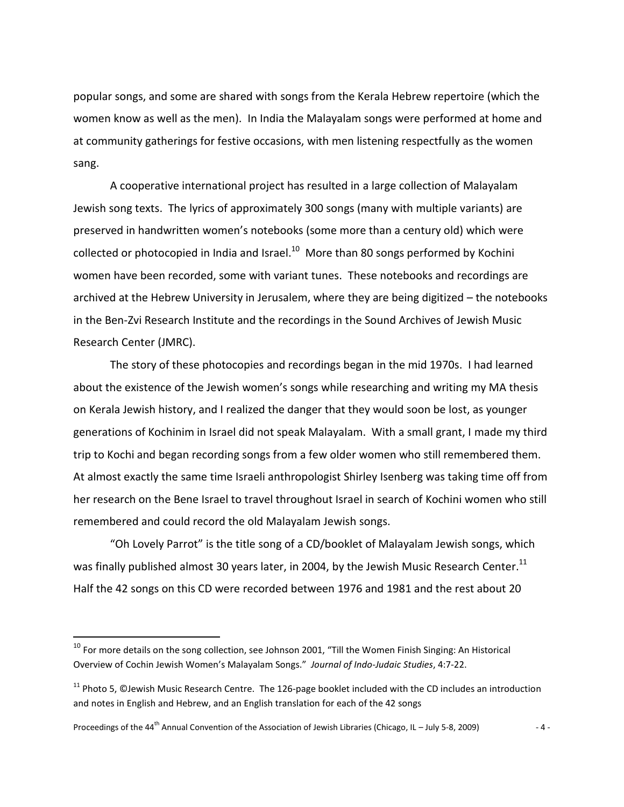popular songs, and some are shared with songs from the Kerala Hebrew repertoire (which the women know as well as the men). In India the Malayalam songs were performed at home and at community gatherings for festive occasions, with men listening respectfully as the women sang.

A cooperative international project has resulted in a large collection of Malayalam Jewish song texts. The lyrics of approximately 300 songs (many with multiple variants) are preserved in handwritten women's notebooks (some more than a century old) which were collected or photocopied in India and Israel. $^{10}$  More than 80 songs performed by Kochini women have been recorded, some with variant tunes. These notebooks and recordings are archived at the Hebrew University in Jerusalem, where they are being digitized – the notebooks in the Ben-Zvi Research Institute and the recordings in the Sound Archives of Jewish Music Research Center (JMRC).

The story of these photocopies and recordings began in the mid 1970s. I had learned about the existence of the Jewish women's songs while researching and writing my MA thesis on Kerala Jewish history, and I realized the danger that they would soon be lost, as younger generations of Kochinim in Israel did not speak Malayalam. With a small grant, I made my third trip to Kochi and began recording songs from a few older women who still remembered them. At almost exactly the same time Israeli anthropologist Shirley Isenberg was taking time off from her research on the Bene Israel to travel throughout Israel in search of Kochini women who still remembered and could record the old Malayalam Jewish songs.

"Oh Lovely Parrot" is the title song of a CD/booklet of Malayalam Jewish songs, which was finally published almost 30 years later, in 2004, by the Jewish Music Research Center.<sup>11</sup> Half the 42 songs on this CD were recorded between 1976 and 1981 and the rest about 20

Proceedings of the 44<sup>th</sup> Annual Convention of the Association of Jewish Libraries (Chicago, IL – July 5-8, 2009)  $-4 -$ 

<sup>&</sup>lt;sup>10</sup> For more details on the song collection, see Johnson 2001, "Till the Women Finish Singing: An Historical Overview of Cochin Jewish Women's Malayalam Songs." *Journal of Indo-Judaic Studies*, 4:7-22.

 $11$  Photo 5, ©Jewish Music Research Centre. The 126-page booklet included with the CD includes an introduction and notes in English and Hebrew, and an English translation for each of the 42 songs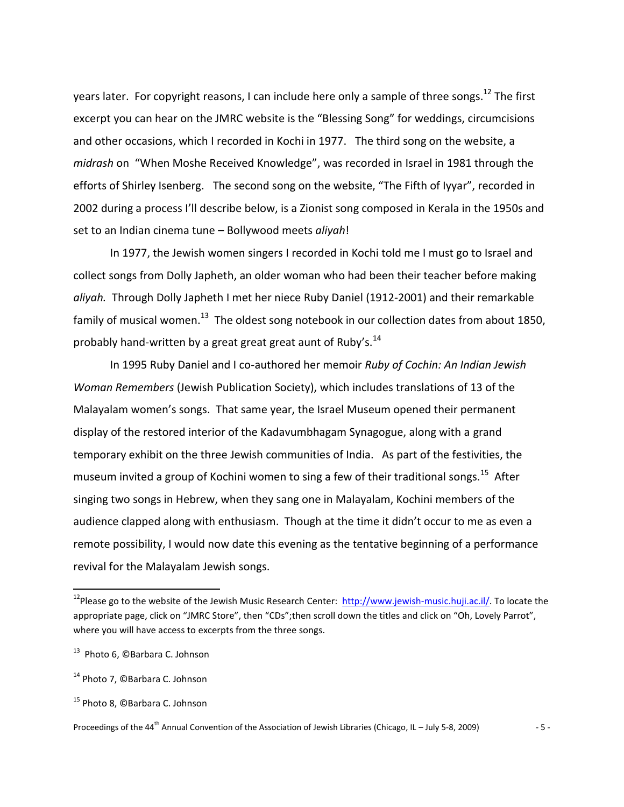years later. For copyright reasons, I can include here only a sample of three songs.<sup>12</sup> The first excerpt you can hear on the JMRC website is the "Blessing Song" for weddings, circumcisions and other occasions, which I recorded in Kochi in 1977. The third song on the website, a *midrash* on "When Moshe Received Knowledge", was recorded in Israel in 1981 through the efforts of Shirley Isenberg. The second song on the website, "The Fifth of Iyyar", recorded in 2002 during a process I'll describe below, is a Zionist song composed in Kerala in the 1950s and set to an Indian cinema tune – Bollywood meets *aliyah*!

In 1977, the Jewish women singers I recorded in Kochi told me I must go to Israel and collect songs from Dolly Japheth, an older woman who had been their teacher before making *aliyah.* Through Dolly Japheth I met her niece Ruby Daniel (1912-2001) and their remarkable family of musical women.<sup>13</sup> The oldest song notebook in our collection dates from about 1850, probably hand-written by a great great great aunt of Ruby's. $^{14}$ 

In 1995 Ruby Daniel and I co-authored her memoir *Ruby of Cochin: An Indian Jewish Woman Remembers* (Jewish Publication Society), which includes translations of 13 of the Malayalam women's songs. That same year, the Israel Museum opened their permanent display of the restored interior of the Kadavumbhagam Synagogue, along with a grand temporary exhibit on the three Jewish communities of India. As part of the festivities, the museum invited a group of Kochini women to sing a few of their traditional songs.<sup>15</sup> After singing two songs in Hebrew, when they sang one in Malayalam, Kochini members of the audience clapped along with enthusiasm. Though at the time it didn't occur to me as even a remote possibility, I would now date this evening as the tentative beginning of a performance revival for the Malayalam Jewish songs.

<sup>&</sup>lt;sup>12</sup>Please go to the website of the Jewish Music Research Center: [http://www.jewish-music.huji.ac.il/.](http://www.jewish-music.huji.ac.il/) To locate the appropriate page, click on "JMRC Store", then "CDs";then scroll down the titles and click on "Oh, Lovely Parrot", where you will have access to excerpts from the three songs.

<sup>&</sup>lt;sup>13</sup> Photo 6, ©Barbara C. Johnson

<sup>&</sup>lt;sup>14</sup> Photo 7, ©Barbara C. Johnson

<sup>&</sup>lt;sup>15</sup> Photo 8, ©Barbara C. Johnson

Proceedings of the 44<sup>th</sup> Annual Convention of the Association of Jewish Libraries (Chicago, IL – July 5-8, 2009)  $-5 -$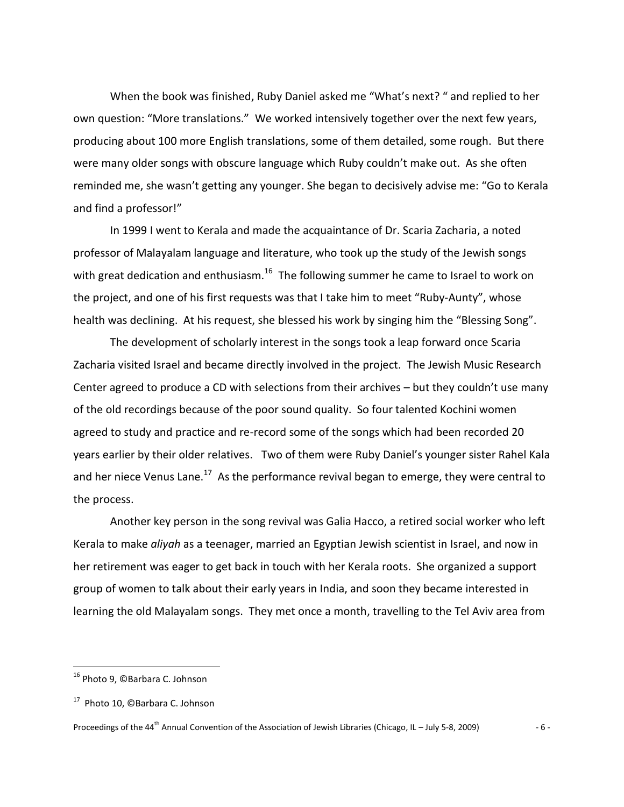When the book was finished, Ruby Daniel asked me "What's next? " and replied to her own question: "More translations." We worked intensively together over the next few years, producing about 100 more English translations, some of them detailed, some rough. But there were many older songs with obscure language which Ruby couldn't make out. As she often reminded me, she wasn't getting any younger. She began to decisively advise me: "Go to Kerala and find a professor!"

In 1999 I went to Kerala and made the acquaintance of Dr. Scaria Zacharia, a noted professor of Malayalam language and literature, who took up the study of the Jewish songs with great dedication and enthusiasm. $^{16}$  The following summer he came to Israel to work on the project, and one of his first requests was that I take him to meet "Ruby-Aunty", whose health was declining. At his request, she blessed his work by singing him the "Blessing Song".

The development of scholarly interest in the songs took a leap forward once Scaria Zacharia visited Israel and became directly involved in the project. The Jewish Music Research Center agreed to produce a CD with selections from their archives – but they couldn't use many of the old recordings because of the poor sound quality. So four talented Kochini women agreed to study and practice and re-record some of the songs which had been recorded 20 years earlier by their older relatives. Two of them were Ruby Daniel's younger sister Rahel Kala and her niece Venus Lane.<sup>17</sup> As the performance revival began to emerge, they were central to the process.

Another key person in the song revival was Galia Hacco, a retired social worker who left Kerala to make *aliyah* as a teenager, married an Egyptian Jewish scientist in Israel, and now in her retirement was eager to get back in touch with her Kerala roots. She organized a support group of women to talk about their early years in India, and soon they became interested in learning the old Malayalam songs. They met once a month, travelling to the Tel Aviv area from

<sup>&</sup>lt;sup>16</sup> Photo 9, ©Barbara C. Johnson

<sup>&</sup>lt;sup>17</sup> Photo 10, ©Barbara C. Johnson

Proceedings of the 44<sup>th</sup> Annual Convention of the Association of Jewish Libraries (Chicago, IL – July 5-8, 2009)  $-6 -$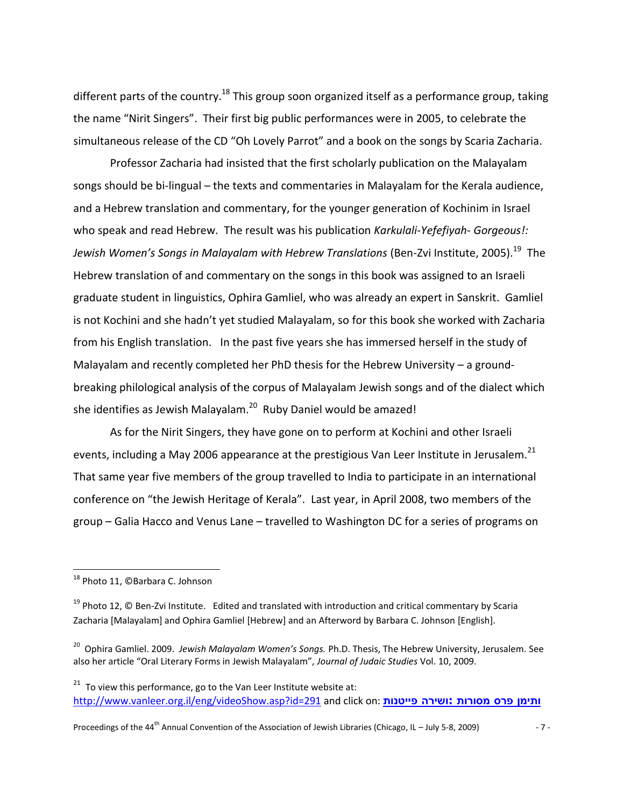different parts of the country.<sup>18</sup> This group soon organized itself as a performance group, taking the name "Nirit Singers". Their first big public performances were in 2005, to celebrate the simultaneous release of the CD "Oh Lovely Parrot" and a book on the songs by Scaria Zacharia.

Professor Zacharia had insisted that the first scholarly publication on the Malayalam songs should be bi-lingual – the texts and commentaries in Malayalam for the Kerala audience, and a Hebrew translation and commentary, for the younger generation of Kochinim in Israel who speak and read Hebrew. The result was his publication *Karkulali-Yefefiyah*- *Gorgeous!: Jewish Women's Songs in Malayalam with Hebrew Translations (Ben-Zvi Institute, 2005).* $^{19}$  *The* Hebrew translation of and commentary on the songs in this book was assigned to an Israeli graduate student in linguistics, Ophira Gamliel, who was already an expert in Sanskrit. Gamliel is not Kochini and she hadn't yet studied Malayalam, so for this book she worked with Zacharia from his English translation. In the past five years she has immersed herself in the study of Malayalam and recently completed her PhD thesis for the Hebrew University – a groundbreaking philological analysis of the corpus of Malayalam Jewish songs and of the dialect which she identifies as Jewish Malayalam.<sup>20</sup> Ruby Daniel would be amazed!

As for the Nirit Singers, they have gone on to perform at Kochini and other Israeli events, including a May 2006 appearance at the prestigious Van Leer Institute in Jerusalem.<sup>21</sup> That same year five members of the group travelled to India to participate in an international conference on "the Jewish Heritage of Kerala". Last year, in April 2008, two members of the group – Galia Hacco and Venus Lane – travelled to Washington DC for a series of programs on

 $\overline{\phantom{a}}$ 

Proceedings of the 44<sup>th</sup> Annual Convention of the Association of Jewish Libraries (Chicago, IL – July 5-8, 2009)  $-7 -$ 

<sup>&</sup>lt;sup>18</sup> Photo 11, ©Barbara C. Johnson

 $19$  Photo 12, © Ben-Zvi Institute. Edited and translated with introduction and critical commentary by Scaria Zacharia [Malayalam] and Ophira Gamliel [Hebrew] and an Afterword by Barbara C. Johnson [English].

<sup>&</sup>lt;sup>20</sup> Ophira Gamliel. 2009. *Jewish Malayalam Women's Songs.* Ph.D. Thesis, The Hebrew University, Jerusalem. See also her article "Oral Literary Forms in Jewish Malayalam", *Journal of Judaic Studies* Vol. 10, 2009.

 $21$  To view this performance, go to the Van Leer Institute website at: <http://www.vanleer.org.il/eng/videoShow.asp?id=291> and click on: **[פייטנות](http://www.vanleer.org.il/Data/UploadedFiles/video/291/e_session2.htm) ושירה: מסורות פרס ותימן**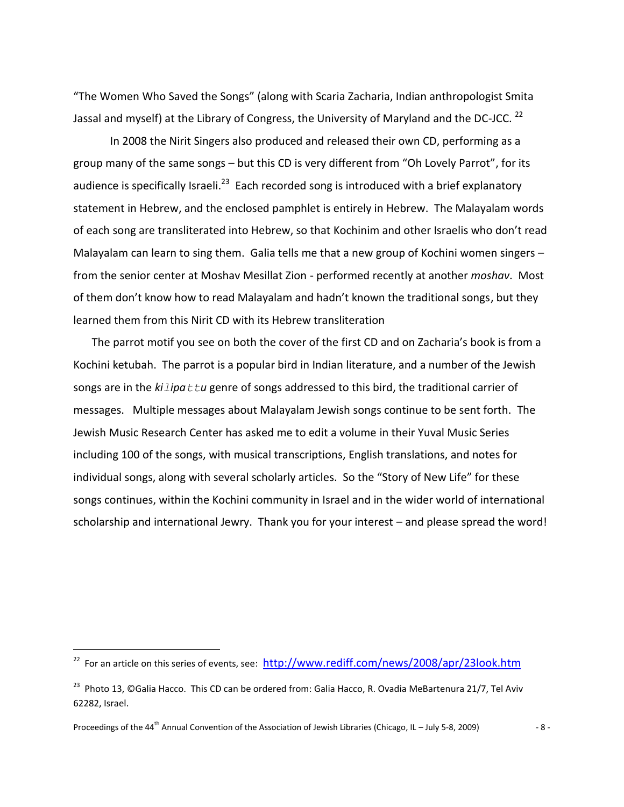"The Women Who Saved the Songs" (along with Scaria Zacharia, Indian anthropologist Smita Jassal and myself) at the Library of Congress, the University of Maryland and the DC-JCC.  $^{22}$ 

In 2008 the Nirit Singers also produced and released their own CD, performing as a group many of the same songs – but this CD is very different from "Oh Lovely Parrot", for its audience is specifically Israeli.<sup>23</sup> Each recorded song is introduced with a brief explanatory statement in Hebrew, and the enclosed pamphlet is entirely in Hebrew. The Malayalam words of each song are transliterated into Hebrew, so that Kochinim and other Israelis who don't read Malayalam can learn to sing them. Galia tells me that a new group of Kochini women singers – from the senior center at Moshav Mesillat Zion - performed recently at another *moshav*. Most of them don't know how to read Malayalam and hadn't known the traditional songs, but they learned them from this Nirit CD with its Hebrew transliteration

The parrot motif you see on both the cover of the first CD and on Zacharia's book is from a Kochini ketubah. The parrot is a popular bird in Indian literature, and a number of the Jewish songs are in the  $kilipat$ *tu* genre of songs addressed to this bird, the traditional carrier of messages. Multiple messages about Malayalam Jewish songs continue to be sent forth. The Jewish Music Research Center has asked me to edit a volume in their Yuval Music Series including 100 of the songs, with musical transcriptions, English translations, and notes for individual songs, along with several scholarly articles. So the "Story of New Life" for these songs continues, within the Kochini community in Israel and in the wider world of international scholarship and international Jewry. Thank you for your interest – and please spread the word!

<sup>&</sup>lt;sup>22</sup> For an article on this series of events, see: <http://www.rediff.com/news/2008/apr/23look.htm>

<sup>&</sup>lt;sup>23</sup> Photo 13, ©Galia Hacco. This CD can be ordered from: Galia Hacco, R. Ovadia MeBartenura 21/7, Tel Aviv 62282, Israel.

Proceedings of the 44<sup>th</sup> Annual Convention of the Association of Jewish Libraries (Chicago, IL – July 5-8, 2009)  $-8 - 8$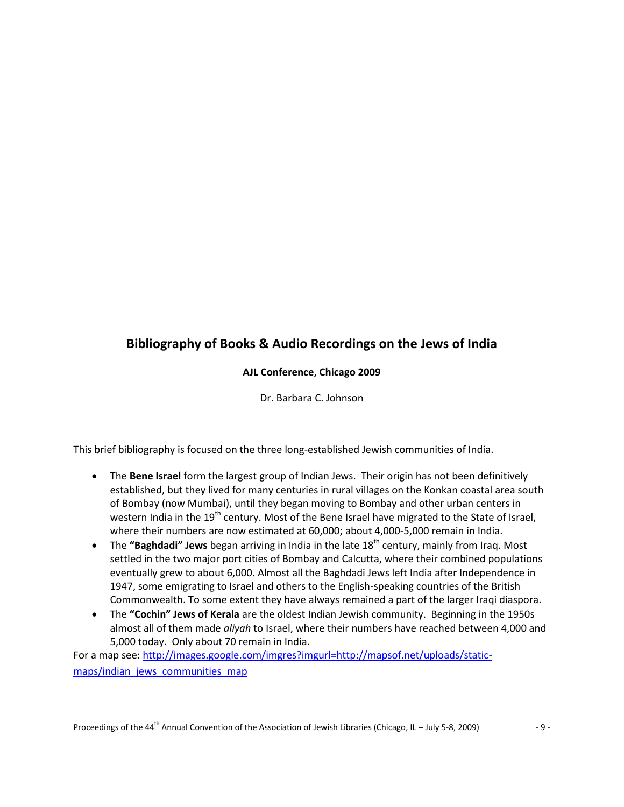# **Bibliography of Books & Audio Recordings on the Jews of India**

# **AJL Conference, Chicago 2009**

Dr. Barbara C. Johnson

This brief bibliography is focused on the three long-established Jewish communities of India.

- The **Bene Israel** form the largest group of Indian Jews. Their origin has not been definitively established, but they lived for many centuries in rural villages on the Konkan coastal area south of Bombay (now Mumbai), until they began moving to Bombay and other urban centers in western India in the 19<sup>th</sup> century. Most of the Bene Israel have migrated to the State of Israel, where their numbers are now estimated at 60,000; about 4,000-5,000 remain in India.
- The "Baghdadi" Jews began arriving in India in the late 18<sup>th</sup> century, mainly from Irag. Most settled in the two major port cities of Bombay and Calcutta, where their combined populations eventually grew to about 6,000. Almost all the Baghdadi Jews left India after Independence in 1947, some emigrating to Israel and others to the English-speaking countries of the British Commonwealth. To some extent they have always remained a part of the larger Iraqi diaspora.
- The **"Cochin" Jews of Kerala** are the oldest Indian Jewish community. Beginning in the 1950s almost all of them made *aliyah* to Israel, where their numbers have reached between 4,000 and 5,000 today. Only about 70 remain in India.

For a map see: [http://images.google.com/imgres?imgurl=http://mapsof.net/uploads/static](http://images.google.com/imgres?imgurl=http://mapsof.net/uploads/static-maps/indian_jews_communities_map)[maps/indian\\_jews\\_communities\\_map](http://images.google.com/imgres?imgurl=http://mapsof.net/uploads/static-maps/indian_jews_communities_map)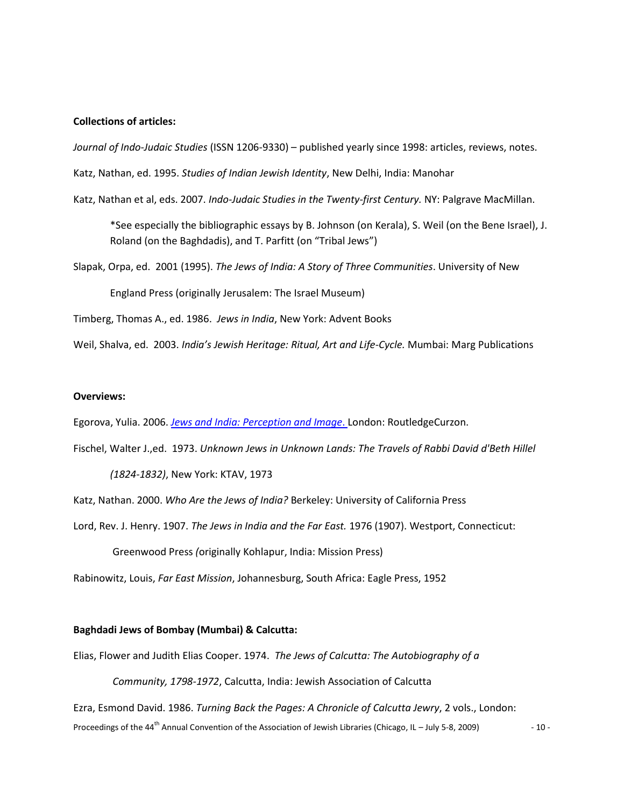## **Collections of articles:**

*Journal of Indo-Judaic Studies* (ISSN 1206-9330) – published yearly since 1998: articles, reviews, notes.

Katz, Nathan, ed. 1995. *Studies of Indian Jewish Identity*, New Delhi, India: Manohar

Katz, Nathan et al, eds. 2007. *Indo-Judaic Studies in the Twenty-first Century.* NY: Palgrave MacMillan.

\*See especially the bibliographic essays by B. Johnson (on Kerala), S. Weil (on the Bene Israel), J. Roland (on the Baghdadis), and T. Parfitt (on "Tribal Jews")

Slapak, Orpa, ed. 2001 (1995). *The Jews of India: A Story of Three Communities*. University of New England Press (originally Jerusalem: The Israel Museum)

Timberg, Thomas A., ed. 1986. *Jews in India*, New York: Advent Books

Weil, Shalva, ed. 2003. *India's Jewish Heritage: Ritual, Art and Life-Cycle.* Mumbai: Marg Publications

#### **Overviews:**

Egorova, Yulia. 2006. *[Jews and India: Perception and Image](http://www.amazon.com/Jews-India-Perception-Routledgecurzon-Studies/dp/0415400406/ref=sr_1_1?ie=UTF8&s=books&qid=1246409737&sr=1-1)*. London: RoutledgeCurzon.

Fischel, Walter J.,ed. 1973. *Unknown Jews in Unknown Lands: The Travels of Rabbi David d'Beth Hillel*

*(1824-1832)*, New York: KTAV, 1973

Katz, Nathan. 2000. *Who Are the Jews of India?* Berkeley: University of California Press

Lord, Rev. J. Henry. 1907. *The Jews in India and the Far East.* 1976 (1907). Westport, Connecticut:

Greenwood Press *(*originally Kohlapur, India: Mission Press)

Rabinowitz, Louis, *Far East Mission*, Johannesburg, South Africa: Eagle Press, 1952

## **Baghdadi Jews of Bombay (Mumbai) & Calcutta:**

Elias, Flower and Judith Elias Cooper. 1974. *The Jews of Calcutta: The Autobiography of a*

*Community, 1798-1972*, Calcutta, India: Jewish Association of Calcutta

Proceedings of the 44<sup>th</sup> Annual Convention of the Association of Jewish Libraries (Chicago, IL – July 5-8, 2009)  $-10 - 10$ Ezra, Esmond David. 1986. *Turning Back the Pages: A Chronicle of Calcutta Jewry*, 2 vols., London: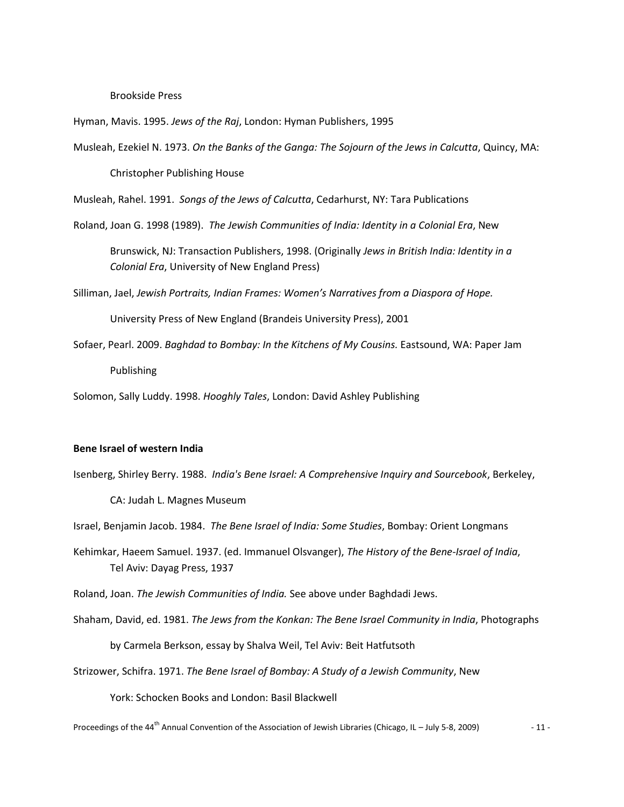#### Brookside Press

Hyman, Mavis. 1995. *Jews of the Raj*, London: Hyman Publishers, 1995

Musleah, Ezekiel N. 1973. *On the Banks of the Ganga: The Sojourn of the Jews in Calcutta*, Quincy, MA:

Christopher Publishing House

Musleah, Rahel. 1991. *Songs of the Jews of Calcutta*, Cedarhurst, NY: Tara Publications

Roland, Joan G. 1998 (1989). *The Jewish Communities of India: Identity in a Colonial Era*, New

Brunswick, NJ: Transaction Publishers, 1998. (Originally *Jews in British India: Identity in a Colonial Era*, University of New England Press)

Silliman, Jael, *Jewish Portraits, Indian Frames: Women's Narratives from a Diaspora of Hope.*

University Press of New England (Brandeis University Press), 2001

Sofaer, Pearl. 2009. *Baghdad to Bombay: In the Kitchens of My Cousins.* Eastsound, WA: Paper Jam Publishing

Solomon, Sally Luddy. 1998. *Hooghly Tales*, London: David Ashley Publishing

#### **Bene Israel of western India**

Isenberg, Shirley Berry. 1988. *India's Bene Israel: A Comprehensive Inquiry and Sourcebook*, Berkeley,

CA: Judah L. Magnes Museum

Israel, Benjamin Jacob. 1984. *The Bene Israel of India: Some Studies*, Bombay: Orient Longmans

Kehimkar, Haeem Samuel. 1937. (ed. Immanuel Olsvanger), *The History of the Bene-Israel of India*, Tel Aviv: Dayag Press, 1937

Roland, Joan. *The Jewish Communities of India.* See above under Baghdadi Jews.

Shaham, David, ed. 1981. *The Jews from the Konkan: The Bene Israel Community in India*, Photographs

by Carmela Berkson, essay by Shalva Weil, Tel Aviv: Beit Hatfutsoth

Strizower, Schifra. 1971. *The Bene Israel of Bombay: A Study of a Jewish Community*, New

York: Schocken Books and London: Basil Blackwell

Proceedings of the 44<sup>th</sup> Annual Convention of the Association of Jewish Libraries (Chicago, IL – July 5-8, 2009)  $-11$  -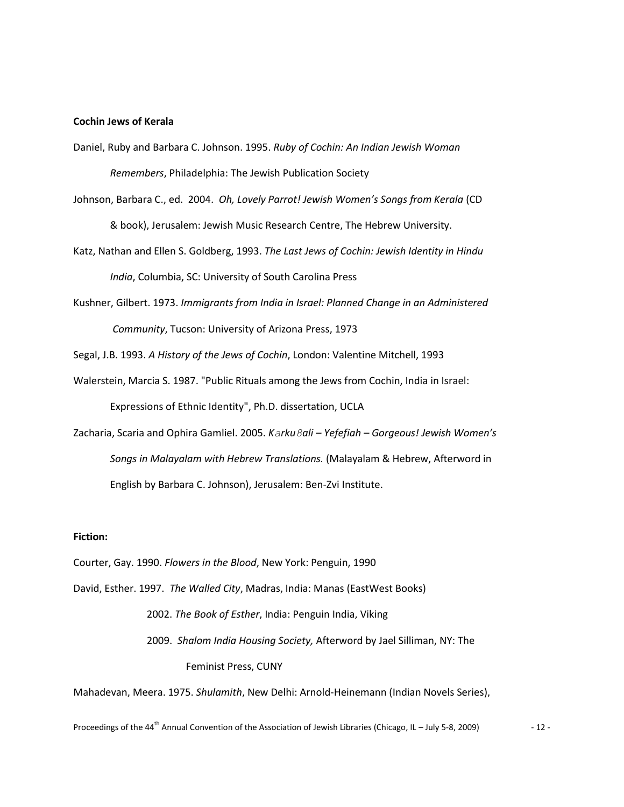#### **Cochin Jews of Kerala**

- Daniel, Ruby and Barbara C. Johnson. 1995. *Ruby of Cochin: An Indian Jewish Woman Remembers*, Philadelphia: The Jewish Publication Society
- Johnson, Barbara C., ed. 2004. *Oh, Lovely Parrot! Jewish Women's Songs from Kerala* (CD & book), Jerusalem: Jewish Music Research Centre, The Hebrew University.
- Katz, Nathan and Ellen S. Goldberg, 1993. *The Last Jews of Cochin: Jewish Identity in Hindu India*, Columbia, SC: University of South Carolina Press
- Kushner, Gilbert. 1973. *Immigrants from India in Israel: Planned Change in an Administered Community*, Tucson: University of Arizona Press, 1973
- Segal, J.B. 1993. *A History of the Jews of Cochin*, London: Valentine Mitchell, 1993
- Walerstein, Marcia S. 1987. "Public Rituals among the Jews from Cochin, India in Israel: Expressions of Ethnic Identity", Ph.D. dissertation, UCLA
- Zacharia, Scaria and Ophira Gamliel. 2005. *Karku8ali – Yefefiah – Gorgeous! Jewish Women's Songs in Malayalam with Hebrew Translations.* (Malayalam & Hebrew, Afterword in English by Barbara C. Johnson), Jerusalem: Ben-Zvi Institute.

#### **Fiction:**

- Courter, Gay. 1990. *Flowers in the Blood*, New York: Penguin, 1990
- David, Esther. 1997. *The Walled City*, Madras, India: Manas (EastWest Books)

2002. *The Book of Esther*, India: Penguin India, Viking 2009. *Shalom India Housing Society,* Afterword by Jael Silliman, NY: The Feminist Press, CUNY

Mahadevan, Meera. 1975. *Shulamith*, New Delhi: Arnold-Heinemann (Indian Novels Series),